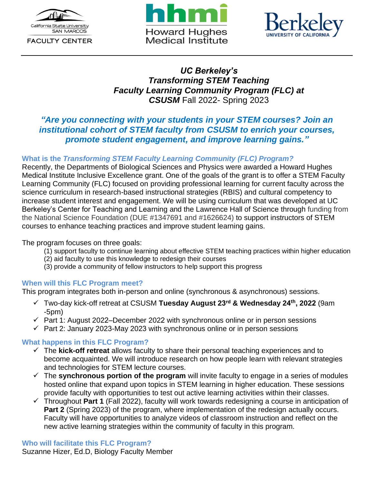

**FACULTY CENTER** 





# *UC Berkeley's Transforming STEM Teaching Faculty Learning Community Program (FLC) at CSUSM* Fall 2022- Spring 2023

# *"Are you connecting with your students in your STEM courses? Join an institutional cohort of STEM faculty from CSUSM to enrich your courses, promote student engagement, and improve learning gains."*

## **What is the** *Transforming STEM Faculty Learning Community (FLC) Program?*

Recently, the Departments of Biological Sciences and Physics were awarded a Howard Hughes Medical Institute Inclusive Excellence grant. One of the goals of the grant is to offer a STEM Faculty Learning Community (FLC) focused on providing professional learning for current faculty across the science curriculum in research-based instructional strategies (RBIS) and cultural competency to increase student interest and engagement. We will be using curriculum that was developed at UC Berkeley's Center for Teaching and Learning and the Lawrence Hall of Science through funding from the National Science Foundation (DUE #1347691 and #1626624) to support instructors of STEM courses to enhance teaching practices and improve student learning gains.

The program focuses on three goals:

- (1) support faculty to continue learning about effective STEM teaching practices within higher education
- (2) aid faculty to use this knowledge to redesign their courses
- (3) provide a community of fellow instructors to help support this progress

#### **When will this FLC Program meet?**

This program integrates both in-person and online (synchronous & asynchronous) sessions.

- ✓ Two-day kick-off retreat at CSUSM **Tuesday August 23 rd & Wednesday 24 th , 2022** (9am -5pm)
- $\checkmark$  Part 1: August 2022–December 2022 with synchronous online or in person sessions
- $\checkmark$  Part 2: January 2023-May 2023 with synchronous online or in person sessions

#### **What happens in this FLC Program?**

- ✓ The **kick-off retreat** allows faculty to share their personal teaching experiences and to become acquainted. We will introduce research on how people learn with relevant strategies and technologies for STEM lecture courses.
- ✓ The **synchronous portion of the program** will invite faculty to engage in a series of modules hosted online that expand upon topics in STEM learning in higher education. These sessions provide faculty with opportunities to test out active learning activities within their classes.
- ✓ Throughout **Part 1** (Fall 2022), faculty will work towards redesigning a course in anticipation of **Part 2** (Spring 2023) of the program, where implementation of the redesign actually occurs. Faculty will have opportunities to analyze videos of classroom instruction and reflect on the new active learning strategies within the community of faculty in this program.

#### **Who will facilitate this FLC Program?**

Suzanne Hizer, Ed.D, Biology Faculty Member